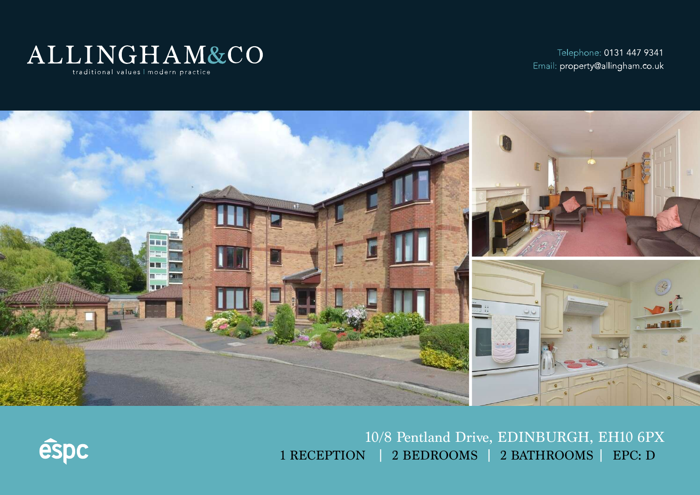

Telephone: 0131 447 9341 Email: property@allingham.co.uk



10/8 Pentland Drive, EDINBURGH, EH10 6PX 1 RECEPTION | 2 BEDROOMS | 2 BATHROOMS | EPC: D

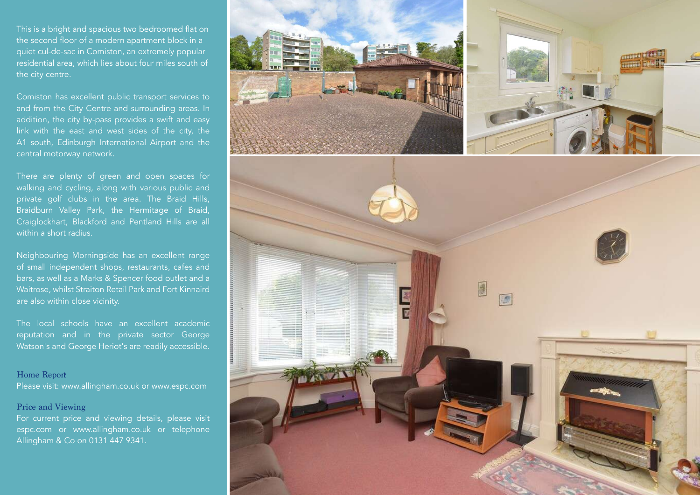This is a bright and spacious two bedroomed flat on the second floor of a modern apartment block in a quiet cul-de-sac in Comiston, an extremely popular residential area, which lies about four miles south of the city centre.

Comiston has excellent public transport services to and from the City Centre and surrounding areas. In addition, the city by-pass provides a swift and easy link with the east and west sides of the city, the A1 south, Edinburgh International Airport and the central motorway network.

There are plenty of green and open spaces for walking and cycling, along with various public and private golf clubs in the area. The Braid Hills, Braidburn Valley Park, the Hermitage of Braid, Craiglockhart, Blackford and Pentland Hills are all within a short radius.

Neighbouring Morningside has an excellent range of small independent shops, restaurants, cafes and bars, as well as a Marks & Spencer food outlet and a Waitrose, whilst Straiton Retail Park and Fort Kinnaird are also within close vicinity.

The local schools have an excellent academic reputation and in the private sector George Watson's and George Heriot's are readily accessible.

### Home Report

Please visit: www.allingham.co.uk or www.espc.com

## Price and Viewing

For current price and viewing details, please visit espc.com or www.allingham.co.uk or telephone Allingham & Co on 0131 447 9341.

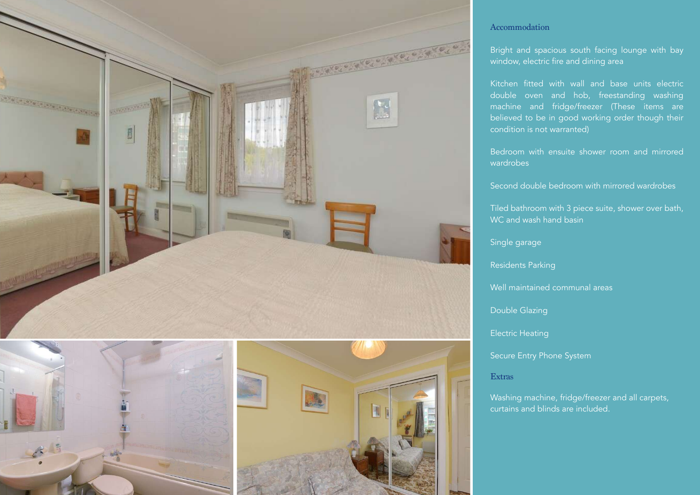

# Accommodation

Bright and spacious south facing lounge with bay window, electric fire and dining area

Kitchen fitted with wall and base units electric double oven and hob, freestanding washing machine and fridge/freezer (These items are believed to be in good working order though their condition is not warranted)

Bedroom with ensuite shower room and mirrored wardrobes

Second double bedroom with mirrored wardrobes

Tiled bathroom with 3 piece suite, shower over bath, WC and wash hand basin

Single garage

Residents Parking

Well maintained communal areas

Double Glazing

Electric Heating

Secure Entry Phone System

#### Extras

Washing machine, fridge/freezer and all carpets, curtains and blinds are included.